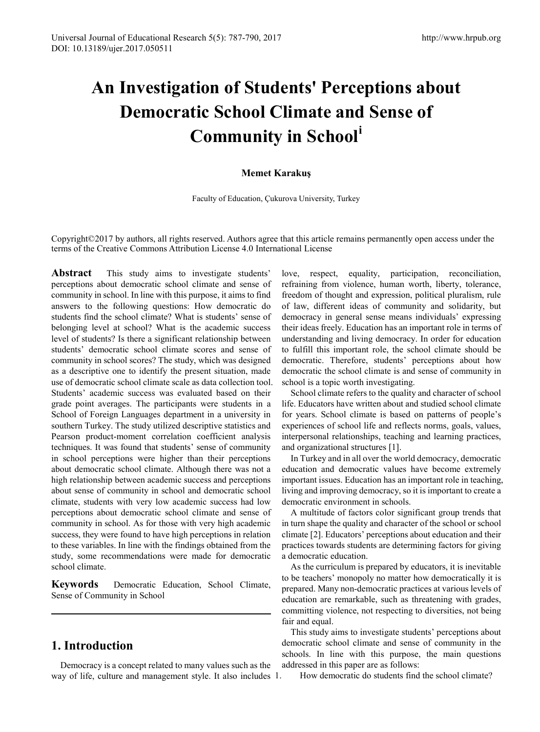# **An Investigation of Students' Perceptions about Democratic School Climate and Sense of Community in School[i](#page-3-0)**

## **Memet Karakuş**

Faculty of Education, Çukurova University, Turkey

Copyright©2017 by authors, all rights reserved. Authors agree that this article remains permanently open access under the terms of the Creative Commons Attribution License 4.0 International License

**Abstract** This study aims to investigate students' perceptions about democratic school climate and sense of community in school. In line with this purpose, it aims to find answers to the following questions: How democratic do students find the school climate? What is students' sense of belonging level at school? What is the academic success level of students? Is there a significant relationship between students' democratic school climate scores and sense of community in school scores? The study, which was designed as a descriptive one to identify the present situation, made use of democratic school climate scale as data collection tool. Students' academic success was evaluated based on their grade point averages. The participants were students in a School of Foreign Languages department in a university in southern Turkey. The study utilized descriptive statistics and Pearson product-moment correlation coefficient analysis techniques. It was found that students' sense of community in school perceptions were higher than their perceptions about democratic school climate. Although there was not a high relationship between academic success and perceptions about sense of community in school and democratic school climate, students with very low academic success had low perceptions about democratic school climate and sense of community in school. As for those with very high academic success, they were found to have high perceptions in relation to these variables. In line with the findings obtained from the study, some recommendations were made for democratic school climate.

**Keywords** Democratic Education, School Climate, Sense of Community in School

# **1. Introduction**

Democracy is a concept related to many values such as the way of life, culture and management style. It also includes 1.

love, respect, equality, participation, reconciliation, refraining from violence, human worth, liberty, tolerance, freedom of thought and expression, political pluralism, rule of law, different ideas of community and solidarity, but democracy in general sense means individuals' expressing their ideas freely. Education has an important role in terms of understanding and living democracy. In order for education to fulfill this important role, the school climate should be democratic. Therefore, students' perceptions about how democratic the school climate is and sense of community in school is a topic worth investigating.

School climate refers to the quality and character of school life. Educators have written about and studied school climate for years. School climate is based on patterns of people's experiences of school life and reflects norms, goals, values, interpersonal relationships, teaching and learning practices, and organizational structures [1].

In Turkey and in all over the world democracy, democratic education and democratic values have become extremely important issues. Education has an important role in teaching, living and improving democracy, so it is important to create a democratic environment in schools.

A multitude of factors color significant group trends that in turn shape the quality and character of the school or school climate [2]. Educators' perceptions about education and their practices towards students are determining factors for giving a democratic education.

As the curriculum is prepared by educators, it is inevitable to be teachers' monopoly no matter how democratically it is prepared. Many non-democratic practices at various levels of education are remarkable, such as threatening with grades, committing violence, not respecting to diversities, not being fair and equal.

This study aims to investigate students' perceptions about democratic school climate and sense of community in the schools. In line with this purpose, the main questions addressed in this paper are as follows:

1. How democratic do students find the school climate?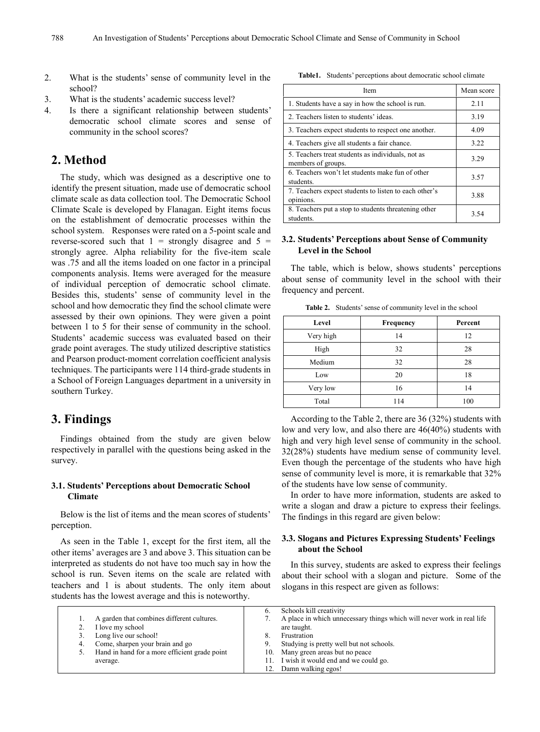- 2. What is the students' sense of community level in the school?
- 3. What is the students' academic success level?
- 4. Is there a significant relationship between students' democratic school climate scores and sense of community in the school scores?

## **2. Method**

The study, which was designed as a descriptive one to identify the present situation, made use of democratic school climate scale as data collection tool. The Democratic School Climate Scale is developed by Flanagan. Eight items focus on the establishment of democratic processes within the school system. Responses were rated on a 5-point scale and reverse-scored such that  $1 =$  strongly disagree and  $5 =$ strongly agree. Alpha reliability for the five-item scale was .75 and all the items loaded on one factor in a principal components analysis. Items were averaged for the measure of individual perception of democratic school climate. Besides this, students' sense of community level in the school and how democratic they find the school climate were assessed by their own opinions. They were given a point between 1 to 5 for their sense of community in the school. Students' academic success was evaluated based on their grade point averages. The study utilized descriptive statistics and Pearson product-moment correlation coefficient analysis techniques. The participants were 114 third-grade students in a School of Foreign Languages department in a university in southern Turkey.

## **3. Findings**

Findings obtained from the study are given below respectively in parallel with the questions being asked in the survey.

#### **3.1. Students' Perceptions about Democratic School Climate**

Below is the list of items and the mean scores of students' perception.

As seen in the Table 1, except for the first item, all the other items' averages are 3 and above 3. This situation can be interpreted as students do not have too much say in how the school is run. Seven items on the scale are related with teachers and 1 is about students. The only item about students has the lowest average and this is noteworthy.

**Table1.** Students' perceptions about democratic school climate

| Item                                                                    | Mean score |
|-------------------------------------------------------------------------|------------|
| 1. Students have a say in how the school is run.                        | 2.11       |
| 2. Teachers listen to students' ideas.                                  | 3.19       |
| 3. Teachers expect students to respect one another.                     | 4.09       |
| 4. Teachers give all students a fair chance.                            | 3.22       |
| 5. Teachers treat students as individuals, not as<br>members of groups. | 3.29       |
| 6. Teachers won't let students make fun of other<br>students.           | 3.57       |
| 7. Teachers expect students to listen to each other's<br>opinions.      | 3.88       |
| 8. Teachers put a stop to students threatening other<br>students.       | 3.54       |

### **3.2. Students' Perceptions about Sense of Community Level in the School**

The table, which is below, shows students' perceptions about sense of community level in the school with their frequency and percent.

| Level     | Frequency | Percent |
|-----------|-----------|---------|
| Very high | 14        | 12      |
| High      | 32        | 28      |
| Medium    | 32        | 28      |
| Low       | 20        | 18      |
| Very low  | 16        | 14      |
| Total     | 114       | 100     |

**Table 2.** Students' sense of community level in the school

According to the Table 2, there are 36 (32%) students with low and very low, and also there are 46(40%) students with high and very high level sense of community in the school. 32(28%) students have medium sense of community level. Even though the percentage of the students who have high sense of community level is more, it is remarkable that 32% of the students have low sense of community.

In order to have more information, students are asked to write a slogan and draw a picture to express their feelings. The findings in this regard are given below:

#### **3.3. Slogans and Pictures Expressing Students' Feelings about the School**

In this survey, students are asked to express their feelings about their school with a slogan and picture. Some of the slogans in this respect are given as follows:

|                                               | Schools kill creativity                                                |
|-----------------------------------------------|------------------------------------------------------------------------|
| A garden that combines different cultures.    | A place in which unnecessary things which will never work in real life |
| I love my school                              | are taught.                                                            |
| Long live our school!                         | Frustration                                                            |
| Come, sharpen your brain and go               | Studying is pretty well but not schools.                               |
| Hand in hand for a more efficient grade point | 10. Many green areas but no peace                                      |
| average.                                      | 11. I wish it would end and we could go.                               |
|                                               | 12. Damn walking egos!                                                 |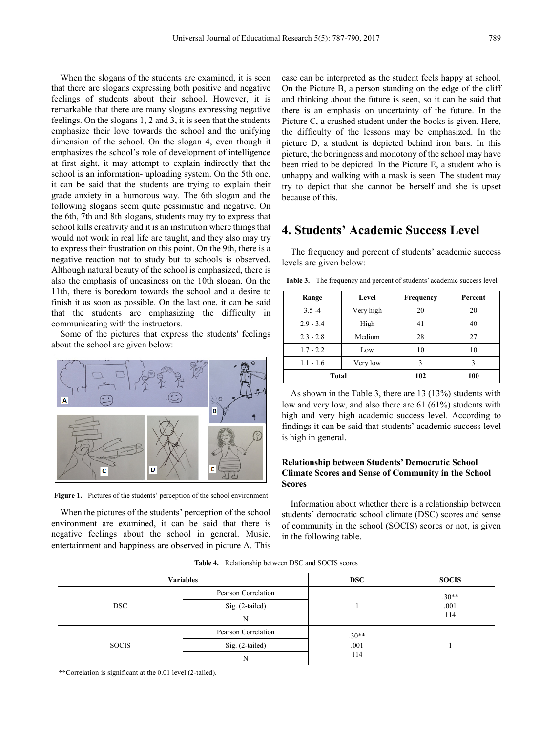When the slogans of the students are examined, it is seen that there are slogans expressing both positive and negative feelings of students about their school. However, it is remarkable that there are many slogans expressing negative feelings. On the slogans 1, 2 and 3, it is seen that the students emphasize their love towards the school and the unifying dimension of the school. On the slogan 4, even though it emphasizes the school's role of development of intelligence at first sight, it may attempt to explain indirectly that the school is an information- uploading system. On the 5th one, it can be said that the students are trying to explain their grade anxiety in a humorous way. The 6th slogan and the following slogans seem quite pessimistic and negative. On the 6th, 7th and 8th slogans, students may try to express that school kills creativity and it is an institution where things that would not work in real life are taught, and they also may try to express their frustration on this point. On the 9th, there is a negative reaction not to study but to schools is observed. Although natural beauty of the school is emphasized, there is also the emphasis of uneasiness on the 10th slogan. On the 11th, there is boredom towards the school and a desire to finish it as soon as possible. On the last one, it can be said that the students are emphasizing the difficulty in communicating with the instructors.

Some of the pictures that express the students' feelings about the school are given below:



Figure 1. Pictures of the students' perception of the school environment

When the pictures of the students' perception of the school environment are examined, it can be said that there is negative feelings about the school in general. Music, entertainment and happiness are observed in picture A. This case can be interpreted as the student feels happy at school. On the Picture B, a person standing on the edge of the cliff and thinking about the future is seen, so it can be said that there is an emphasis on uncertainty of the future. In the Picture C, a crushed student under the books is given. Here, the difficulty of the lessons may be emphasized. In the picture D, a student is depicted behind iron bars. In this picture, the boringness and monotony of the school may have been tried to be depicted. In the Picture E, a student who is unhappy and walking with a mask is seen. The student may try to depict that she cannot be herself and she is upset because of this.

# **4. Students' Academic Success Level**

The frequency and percent of students' academic success levels are given below:

|  |  |  |  | <b>Table 3.</b> The frequency and percent of students' academic success level |  |
|--|--|--|--|-------------------------------------------------------------------------------|--|
|--|--|--|--|-------------------------------------------------------------------------------|--|

| Range       | Level     | Frequency | Percent |
|-------------|-----------|-----------|---------|
| $3.5 - 4$   | Very high | 20        | 20      |
| $2.9 - 3.4$ | High      | 41        | 40      |
| $2.3 - 2.8$ | Medium    | 28        | 27      |
| $1.7 - 2.2$ | Low       | 10        | 10      |
| $1.1 - 1.6$ | Very low  | 3         | 3       |
| Total       |           | 102       | 100     |

As shown in the Table 3, there are 13 (13%) students with low and very low, and also there are 61 (61%) students with high and very high academic success level. According to findings it can be said that students' academic success level is high in general.

### **Relationship between Students' Democratic School Climate Scores and Sense of Community in the School Scores**

Information about whether there is a relationship between students' democratic school climate (DSC) scores and sense of community in the school (SOCIS) scores or not, is given in the following table.

|  | <b>Table 4.</b> Relationship between DSC and SOCIS scores |  |  |  |
|--|-----------------------------------------------------------|--|--|--|
|--|-----------------------------------------------------------|--|--|--|

| <b>Variables</b> |                     | <b>DSC</b> | <b>SOCIS</b>    |
|------------------|---------------------|------------|-----------------|
| <b>DSC</b>       | Pearson Correlation |            | $.30**$<br>.001 |
|                  | Sig. (2-tailed)     |            |                 |
|                  | N                   |            | 114             |
|                  | Pearson Correlation | $.30**$    |                 |
| <b>SOCIS</b>     | Sig. (2-tailed)     | .001       |                 |
|                  | N                   | 114        |                 |

\*\*Correlation is significant at the 0.01 level (2-tailed).